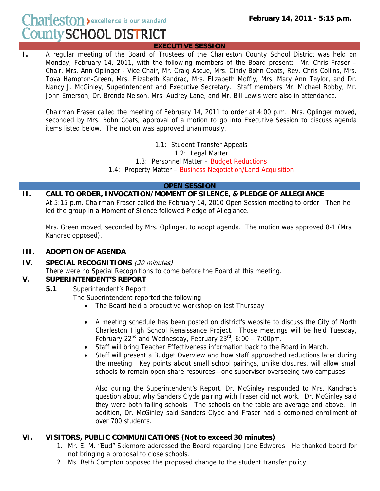${\rm Char}{\rm less}$   ${\rm ton}$   ${\rm \bullet}$  excellence is our standard **County SCHOOL DISTRICT** 

### **EXECUTIVE SESSION**

**I.** A regular meeting of the Board of Trustees of the Charleston County School District was held on Monday, February 14, 2011, with the following members of the Board present: Mr. Chris Fraser – Chair, Mrs. Ann Oplinger - Vice Chair, Mr. Craig Ascue, Mrs. Cindy Bohn Coats, Rev. Chris Collins, Mrs. Toya Hampton-Green, Mrs. Elizabeth Kandrac, Mrs. Elizabeth Moffly, Mrs. Mary Ann Taylor, and Dr. Nancy J. McGinley, Superintendent and Executive Secretary. Staff members Mr. Michael Bobby, Mr. John Emerson, Dr. Brenda Nelson, Mrs. Audrey Lane, and Mr. Bill Lewis were also in attendance.

Chairman Fraser called the meeting of February 14, 2011 to order at 4:00 p.m. Mrs. Oplinger moved, seconded by Mrs. Bohn Coats, approval of a motion to go into Executive Session to discuss agenda items listed below. The motion was approved unanimously.

> 1.1: Student Transfer Appeals 1.2: Legal Matter 1.3: Personnel Matter – Budget Reductions

1.4: Property Matter – Business Negotiation/Land Acquisition

### **OPEN SESSION**

**II. CALL TO ORDER, INVOCATION/MOMENT OF SILENCE, & PLEDGE OF ALLEGIANCE**  At 5:15 p.m. Chairman Fraser called the February 14, 2010 Open Session meeting to order. Then he led the group in a Moment of Silence followed Pledge of Allegiance.

Mrs. Green moved, seconded by Mrs. Oplinger, to adopt agenda. The motion was approved 8-1 (Mrs. Kandrac opposed).

### **III. ADOPTION OF AGENDA**

**IV. SPECIAL RECOGNITIONS** (20 minutes)

There were no Special Recognitions to come before the Board at this meeting.

### **V. SUPERINTENDENT'S REPORT**

 **5.1** Superintendent's Report

The Superintendent reported the following:

- The Board held a productive workshop on last Thursday.
- A meeting schedule has been posted on district's website to discuss the City of North Charleston High School Renaissance Project. Those meetings will be held Tuesday, February 22<sup>nd</sup> and Wednesday, February  $23^{rd}$ , 6:00 – 7:00pm.
- Staff will bring Teacher Effectiveness information back to the Board in March.
- Staff will present a Budget Overview and how staff approached reductions later during the meeting. Key points about small school pairings, unlike closures, will allow small schools to remain open share resources—one supervisor overseeing two campuses.

Also during the Superintendent's Report, Dr. McGinley responded to Mrs. Kandrac's question about why Sanders Clyde pairing with Fraser did not work. Dr. McGinley said they were both failing schools. The schools on the table are average and above. In addition, Dr. McGinley said Sanders Clyde and Fraser had a combined enrollment of over 700 students.

### **VI. VISITORS, PUBLIC COMMUNICATIONS (Not to exceed 30 minutes)**

- 1. Mr. E. M. "Bud" Skidmore addressed the Board regarding Jane Edwards. He thanked board for not bringing a proposal to close schools.
- 2. Ms. Beth Compton opposed the proposed change to the student transfer policy.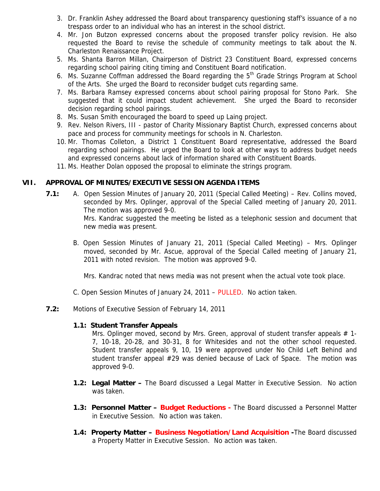- 3. Dr. Franklin Ashey addressed the Board about transparency questioning staff's issuance of a no trespass order to an individual who has an interest in the school district.
- 4. Mr. Jon Butzon expressed concerns about the proposed transfer policy revision. He also requested the Board to revise the schedule of community meetings to talk about the N. Charleston Renaissance Project.
- 5. Ms. Shanta Barron Millan, Chairperson of District 23 Constituent Board, expressed concerns regarding school pairing citing timing and Constituent Board notification.
- 6. Ms. Suzanne Coffman addressed the Board regarding the  $5<sup>th</sup>$  Grade Strings Program at School of the Arts. She urged the Board to reconsider budget cuts regarding same.
- 7. Ms. Barbara Ramsey expressed concerns about school pairing proposal for Stono Park. She suggested that it could impact student achievement. She urged the Board to reconsider decision regarding school pairings.
- 8. Ms. Susan Smith encouraged the board to speed up Laing project.
- 9. Rev. Nelson Rivers, III pastor of Charity Missionary Baptist Church, expressed concerns about pace and process for community meetings for schools in N. Charleston.
- 10. Mr. Thomas Colleton, a District 1 Constituent Board representative, addressed the Board regarding school pairings. He urged the Board to look at other ways to address budget needs and expressed concerns about lack of information shared with Constituent Boards.
- 11. Ms. Heather Dolan opposed the proposal to eliminate the strings program.

### **VII. APPROVAL OF MINUTES/EXECUTIVE SESSION AGENDA ITEMS**

 **7.1:** A. Open Session Minutes of January 20, 2011 (Special Called Meeting) – Rev. Collins moved, seconded by Mrs. Oplinger, approval of the Special Called meeting of January 20, 2011. The motion was approved 9-0.

> Mrs. Kandrac suggested the meeting be listed as a telephonic session and document that new media was present.

B. Open Session Minutes of January 21, 2011 (Special Called Meeting) – Mrs. Oplinger moved, seconded by Mr. Ascue, approval of the Special Called meeting of January 21, 2011 with noted revision. The motion was approved 9-0.

Mrs. Kandrac noted that news media was not present when the actual vote took place.

- C. Open Session Minutes of January 24, 2011 PULLED. No action taken.
- **7.2:** Motions of Executive Session of February 14, 2011

#### **1.1: Student Transfer Appeals**

Mrs. Oplinger moved, second by Mrs. Green, approval of student transfer appeals  $# 1$ -7, 10-18, 20-28, and 30-31, 8 for Whitesides and not the other school requested. Student transfer appeals 9, 10, 19 were approved under No Child Left Behind and student transfer appeal #29 was denied because of Lack of Space. The motion was approved 9-0.

- **1.2: Legal Matter** The Board discussed a Legal Matter in Executive Session. No action was taken.
- **1.3: Personnel Matter Budget Reductions** The Board discussed a Personnel Matter in Executive Session. No action was taken.
- **1.4: Property Matter Business Negotiation/Land Acquisition -**The Board discussed a Property Matter in Executive Session. No action was taken.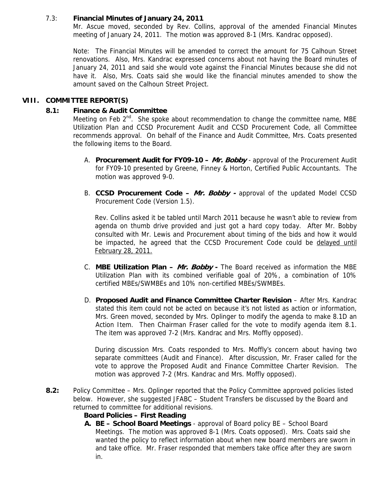### 7.3: **Financial Minutes of January 24, 2011**

Mr. Ascue moved, seconded by Rev. Collins, approval of the amended Financial Minutes meeting of January 24, 2011. The motion was approved 8-1 (Mrs. Kandrac opposed).

Note: The Financial Minutes will be amended to correct the amount for 75 Calhoun Street renovations. Also, Mrs. Kandrac expressed concerns about not having the Board minutes of January 24, 2011 and said she would vote against the Financial Minutes because she did not have it. Also, Mrs. Coats said she would like the financial minutes amended to show the amount saved on the Calhoun Street Project.

# **VIII. COMMITTEE REPORT(S)**

### **8.1: Finance & Audit Committee**

Meeting on Feb  $2^{nd}$ . She spoke about recommendation to change the committee name, MBE Utilization Plan and CCSD Procurement Audit and CCSD Procurement Code, all Committee recommends approval. On behalf of the Finance and Audit Committee, Mrs. Coats presented the following items to the Board.

- A. **Procurement Audit for FY09-10 Mr. Bobby**  approval of the Procurement Audit for FY09-10 presented by Greene, Finney & Horton, Certified Public Accountants. The motion was approved 9-0.
- B. **CCSD Procurement Code Mr. Bobby** approval of the updated Model CCSD Procurement Code (Version 1.5).

Rev. Collins asked it be tabled until March 2011 because he wasn't able to review from agenda on thumb drive provided and just got a hard copy today. After Mr. Bobby consulted with Mr. Lewis and Procurement about timing of the bids and how it would be impacted, he agreed that the CCSD Procurement Code could be delayed until February 28, 2011.

- C. **MBE Utilization Plan Mr. Bobby** The Board received as information the MBE Utilization Plan with its combined verifiable goal of 20%, a combination of 10% certified MBEs/SWMBEs and 10% non-certified MBEs/SWMBEs.
- D. **Proposed Audit and Finance Committee Charter Revision** After Mrs. Kandrac stated this item could not be acted on because it's not listed as action or information, Mrs. Green moved, seconded by Mrs. Oplinger to modify the agenda to make 8.1D an Action Item. Then Chairman Fraser called for the vote to modify agenda item 8.1. The item was approved 7-2 (Mrs. Kandrac and Mrs. Moffly opposed).

During discussion Mrs. Coats responded to Mrs. Moffly's concern about having two separate committees (Audit and Finance). After discussion, Mr. Fraser called for the vote to approve the Proposed Audit and Finance Committee Charter Revision. The motion was approved 7-2 (Mrs. Kandrac and Mrs. Moffly opposed).

 **8.2:** Policy Committee – Mrs. Oplinger reported that the Policy Committee approved policies listed below. However, she suggested JFABC – Student Transfers be discussed by the Board and returned to committee for additional revisions.

# **Board Policies – First Reading**

**A. BE – School Board Meetings** - approval of Board policy BE – School Board Meetings. The motion was approved 8-1 (Mrs. Coats opposed). Mrs. Coats said she wanted the policy to reflect information about when new board members are sworn in and take office. Mr. Fraser responded that members take office after they are sworn in.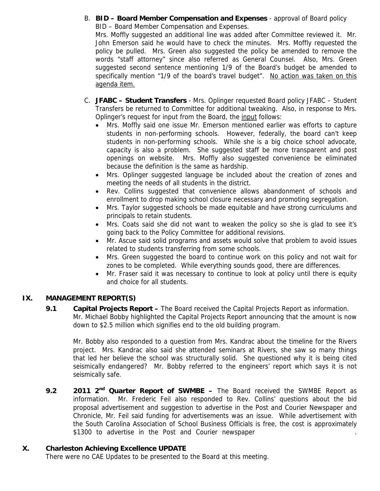B. **BID – Board Member Compensation and Expenses** - approval of Board policy BID – Board Member Compensation and Expenses.

Mrs. Moffly suggested an additional line was added after Committee reviewed it. Mr. John Emerson said he would have to check the minutes. Mrs. Moffly requested the policy be pulled. Mrs. Green also suggested the policy be amended to remove the words "staff attorney" since also referred as General Counsel. Also, Mrs. Green suggested second sentence mentioning 1/9 of the Board's budget be amended to specifically mention "1/9 of the board's travel budget". No action was taken on this agenda item.

- C. **JFABC Student Transfers** Mrs. Oplinger requested Board policy JFABC Student Transfers be returned to Committee for additional tweaking. Also, in response to Mrs. Oplinger's request for input from the Board, the input follows:
	- Mrs. Moffly said one issue Mr. Emerson mentioned earlier was efforts to capture students in non-performing schools. However, federally, the board can't keep students in non-performing schools. While she is a big choice school advocate, capacity is also a problem. She suggested staff be more transparent and post openings on website. Mrs. Moffly also suggested convenience be eliminated because the definition is the same as hardship.
	- Mrs. Oplinger suggested language be included about the creation of zones and meeting the needs of all students in the district.
	- Rev. Collins suggested that convenience allows abandonment of schools and enrollment to drop making school closure necessary and promoting segregation.
	- Mrs. Taylor suggested schools be made equitable and have strong curriculums and principals to retain students.
	- Mrs. Coats said she did not want to weaken the policy so she is glad to see it's going back to the Policy Committee for additional revisions.
	- Mr. Ascue said solid programs and assets would solve that problem to avoid issues related to students transferring from some schools.
	- Mrs. Green suggested the board to continue work on this policy and not wait for zones to be completed. While everything sounds good, there are differences.
	- Mr. Fraser said it was necessary to continue to look at policy until there is equity and choice for all students.

# **IX. MANAGEMENT REPORT(S)**

 **9.1 Capital Projects Report –** The Board received the Capital Projects Report as information. Mr. Michael Bobby highlighted the Capital Projects Report announcing that the amount is now down to \$2.5 million which signifies end to the old building program.

Mr. Bobby also responded to a question from Mrs. Kandrac about the timeline for the Rivers project. Mrs. Kandrac also said she attended seminars at Rivers, she saw so many things that led her believe the school was structurally solid. She questioned why it is being cited seismically endangered? Mr. Bobby referred to the engineers' report which says it is not seismically safe.

9.2 2011 2<sup>nd</sup> Quarter Report of SWMBE – The Board received the SWMBE Report as information. Mr. Frederic Feil also responded to Rev. Collins' questions about the bid proposal advertisement and suggestion to advertise in the Post and Courier Newspaper and Chronicle, Mr. Feil said funding for advertisements was an issue. While advertisement with the South Carolina Association of School Business Officials is free, the cost is approximately \$1300 to advertise in the Post and Courier newspaper

### **X. Charleston Achieving Excellence UPDATE**

There were no CAE Updates to be presented to the Board at this meeting.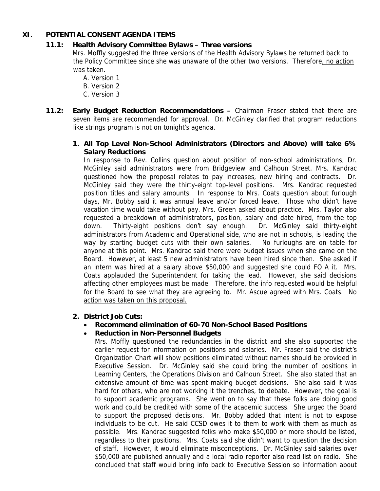## **XI. POTENTIAL CONSENT AGENDA ITEMS**

## **11.1: Health Advisory Committee Bylaws – Three versions**

Mrs. Moffly suggested the three versions of the Health Advisory Bylaws be returned back to the Policy Committee since she was unaware of the other two versions. Therefore, no action was taken.

- A. Version 1
- B. Version 2
- C. Version 3
- **11.2: Early Budget Reduction Recommendations** Chairman Fraser stated that there are seven items are recommended for approval. Dr. McGinley clarified that program reductions like strings program is not on tonight's agenda.
	- **1. All Top Level Non-School Administrators (Directors and Above) will take 6% Salary Reductions**

In response to Rev. Collins question about position of non-school administrations, Dr. McGinley said administrators were from Bridgeview and Calhoun Street. Mrs. Kandrac questioned how the proposal relates to pay increases, new hiring and contracts. Dr. McGinley said they were the thirty-eight top-level positions. Mrs. Kandrac requested position titles and salary amounts. In response to Mrs. Coats question about furlough days, Mr. Bobby said it was annual leave and/or forced leave. Those who didn't have vacation time would take without pay. Mrs. Green asked about practice. Mrs. Taylor also requested a breakdown of administrators, position, salary and date hired, from the top down. Thirty-eight positions don't say enough. Dr. McGinley said thirty-eight administrators from Academic and Operational side, who are not in schools, is leading the way by starting budget cuts with their own salaries. No furloughs are on table for anyone at this point. Mrs. Kandrac said there were budget issues when she came on the Board. However, at least 5 new administrators have been hired since then. She asked if an intern was hired at a salary above \$50,000 and suggested she could FOIA it. Mrs. Coats applauded the Superintendent for taking the lead. However, she said decisions affecting other employees must be made. Therefore, the info requested would be helpful for the Board to see what they are agreeing to. Mr. Ascue agreed with Mrs. Coats. No action was taken on this proposal.

### **2. District Job Cuts:**

# • **Recommend elimination of 60-70 Non-School Based Positions**

### • **Reduction in Non-Personnel Budgets**

Mrs. Moffly questioned the redundancies in the district and she also supported the earlier request for information on positions and salaries. Mr. Fraser said the district's Organization Chart will show positions eliminated without names should be provided in Executive Session. Dr. McGinley said she could bring the number of positions in Learning Centers, the Operations Division and Calhoun Street. She also stated that an extensive amount of time was spent making budget decisions. She also said it was hard for others, who are not working it the trenches, to debate. However, the goal is to support academic programs. She went on to say that these folks are doing good work and could be credited with some of the academic success. She urged the Board to support the proposed decisions. Mr. Bobby added that intent is not to expose individuals to be cut. He said CCSD owes it to them to work with them as much as possible. Mrs. Kandrac suggested folks who make \$50,000 or more should be listed, regardless to their positions. Mrs. Coats said she didn't want to question the decision of staff. However, it would eliminate misconceptions. Dr. McGinley said salaries over \$50,000 are published annually and a local radio reporter also read list on radio. She concluded that staff would bring info back to Executive Session so information about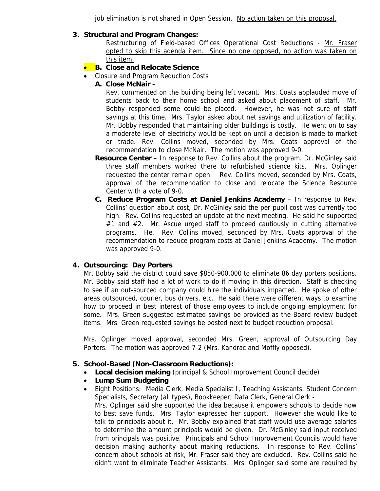job elimination is not shared in Open Session. No action taken on this proposal.

### **3. Structural and Program Changes:**

Restructuring of Field-based Offices Operational Cost Reductions - Mr. Fraser opted to skip this agenda item. Since no one opposed, no action was taken on this item.

- **B. Close and Relocate Science**
- Closure and Program Reduction Costs
	- **A. Close McNair** –

Rev. commented on the building being left vacant. Mrs. Coats applauded move of students back to their home school and asked about placement of staff. Mr. Bobby responded some could be placed. However, he was not sure of staff savings at this time. Mrs. Taylor asked about net savings and utilization of facility. Mr. Bobby responded that maintaining older buildings is costly. He went on to say a moderate level of electricity would be kept on until a decision is made to market or trade. Rev. Collins moved, seconded by Mrs. Coats approval of the recommendation to close McNair. The motion was approved 9-0.

- **Resource Center** In response to Rev. Collins about the program. Dr. McGinley said three staff members worked there to refurbished science kits. Mrs. Oplinger requested the center remain open. Rev. Collins moved, seconded by Mrs. Coats, approval of the recommendation to close and relocate the Science Resource Center with a vote of 9-0.
- **C. Reduce Program Costs at Daniel Jenkins Academy** In response to Rev. Collins' question about cost, Dr. McGinley said the per pupil cost was currently too high. Rev. Collins requested an update at the next meeting. He said he supported #1 and #2. Mr. Ascue urged staff to proceed cautiously in cutting alternative programs. He. Rev. Collins moved, seconded by Mrs. Coats approval of the recommendation to reduce program costs at Daniel Jenkins Academy. The motion was approved 9-0.

# **4. Outsourcing: Day Porters**

Mr. Bobby said the district could save \$850-900,000 to eliminate 86 day porters positions. Mr. Bobby said staff had a lot of work to do if moving in this direction. Staff is checking to see if an out-sourced company could hire the individuals impacted. He spoke of other areas outsourced, courier, bus drivers, etc. He said there were different ways to examine how to proceed in best interest of those employees to include ongoing employment for some. Mrs. Green suggested estimated savings be provided as the Board review budget items. Mrs. Green requested savings be posted next to budget reduction proposal.

Mrs. Oplinger moved approval, seconded Mrs. Green, approval of Outsourcing Day Porters. The motion was approved 7-2 (Mrs. Kandrac and Moffly opposed).

### **5. School-Based (Non-Classroom Reductions):**

- **Local decision making** (principal & School Improvement Council decide)
- **Lump Sum Budgeting**
- Eight Positions: Media Clerk, Media Specialist I, Teaching Assistants, Student Concern Specialists, Secretary (all types), Bookkeeper, Data Clerk, General Clerk - Mrs. Oplinger said she supported the idea because it empowers schools to decide how to best save funds. Mrs. Taylor expressed her support. However she would like to talk to principals about it. Mr. Bobby explained that staff would use average salaries to determine the amount principals would be given. Dr. McGinley said input received from principals was positive. Principals and School Improvement Councils would have decision making authority about making reductions. In response to Rev. Collins' concern about schools at risk, Mr. Fraser said they are excluded. Rev. Collins said he didn't want to eliminate Teacher Assistants. Mrs. Oplinger said some are required by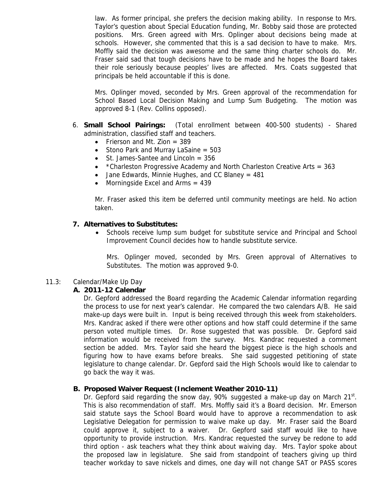law. As former principal, she prefers the decision making ability. In response to Mrs. Taylor's question about Special Education funding, Mr. Bobby said those are protected positions. Mrs. Green agreed with Mrs. Oplinger about decisions being made at schools. However, she commented that this is a sad decision to have to make. Mrs. Moffly said the decision was awesome and the same thing charter schools do. Mr. Fraser said sad that tough decisions have to be made and he hopes the Board takes their role seriously because peoples' lives are affected. Mrs. Coats suggested that principals be held accountable if this is done.

Mrs. Oplinger moved, seconded by Mrs. Green approval of the recommendation for School Based Local Decision Making and Lump Sum Budgeting. The motion was approved 8-1 (Rev. Collins opposed).

- 6. **Small School Pairings:** (Total enrollment between 400-500 students) Shared administration, classified staff and teachers.
	- Frierson and Mt. Zion  $= 389$
	- Stono Park and Murray LaSaine = 503
	- St. James-Santee and Lincoln = 356
	- $*$ Charleston Progressive Academy and North Charleston Creative Arts = 363
	- Jane Edwards, Minnie Hughes, and CC Blaney =  $481$
	- Morningside Excel and Arms  $= 439$

Mr. Fraser asked this item be deferred until community meetings are held. No action taken.

### **7. Alternatives to Substitutes:**

• Schools receive lump sum budget for substitute service and Principal and School Improvement Council decides how to handle substitute service.

Mrs. Oplinger moved, seconded by Mrs. Green approval of Alternatives to Substitutes. The motion was approved 9-0.

### 11.3: Calendar/Make Up Day

### **A. 2011-12 Calendar**

Dr. Gepford addressed the Board regarding the Academic Calendar information regarding the process to use for next year's calendar. He compared the two calendars A/B. He said make-up days were built in. Input is being received through this week from stakeholders. Mrs. Kandrac asked if there were other options and how staff could determine if the same person voted multiple times. Dr. Rose suggested that was possible. Dr. Gepford said information would be received from the survey. Mrs. Kandrac requested a comment section be added. Mrs. Taylor said she heard the biggest piece is the high schools and figuring how to have exams before breaks. She said suggested petitioning of state legislature to change calendar. Dr. Gepford said the High Schools would like to calendar to go back the way it was.

### **B. Proposed Waiver Request (Inclement Weather 2010-11)**

Dr. Gepford said regarding the snow day,  $90\%$  suggested a make-up day on March  $21<sup>st</sup>$ . This is also recommendation of staff. Mrs. Moffly said it's a Board decision. Mr. Emerson said statute says the School Board would have to approve a recommendation to ask Legislative Delegation for permission to waive make up day. Mr. Fraser said the Board could approve it, subject to a waiver. Dr. Gepford said staff would like to have opportunity to provide instruction. Mrs. Kandrac requested the survey be redone to add third option - ask teachers what they think about waiving day. Mrs. Taylor spoke about the proposed law in legislature. She said from standpoint of teachers giving up third teacher workday to save nickels and dimes, one day will not change SAT or PASS scores